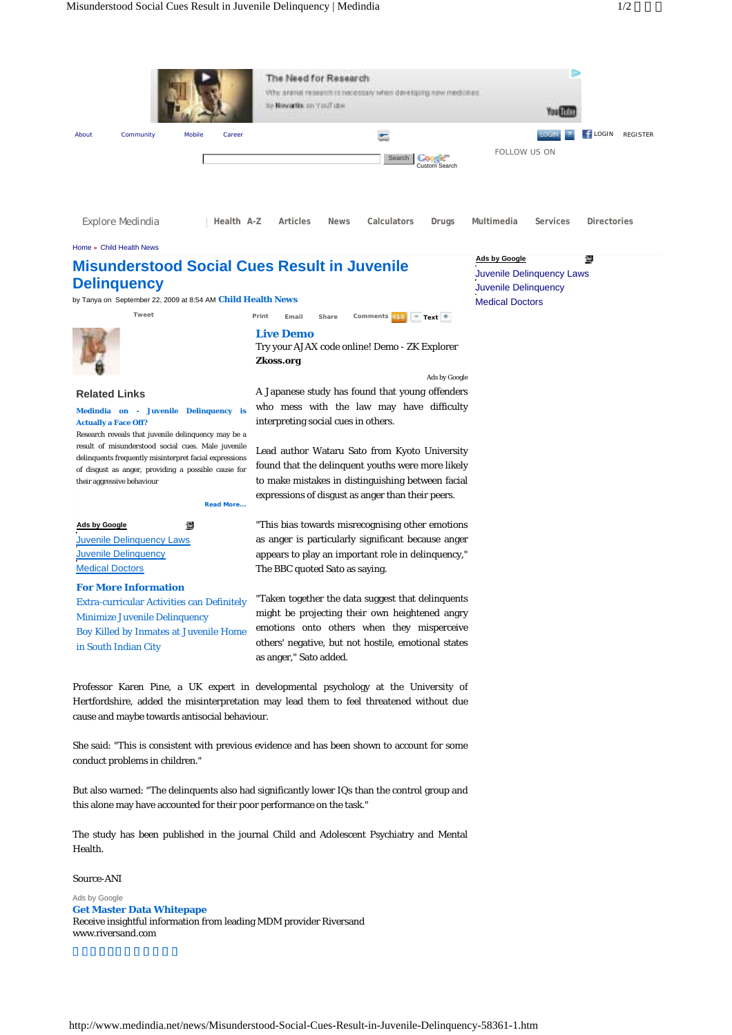

#### Home **»** Child Health News

# **Misunderstood Social Cues Result in Juvenile Delinquency**

by Tanya on September 22, 2009 at 8:54 AM **Child Health News**



#### **Related Links**

**Medindia on - Juvenile Delinquency is Actually a Face Off?** 

Research reveals that juvenile delinquency may be a result of misunderstood social cues. Male juvenile delinquents frequently misinterpret facial expressions of disgust as anger, providing a possible cause for their aggressive behaviour

**Read More...**

 $\blacksquare$ **Ads by Google Juvenile Delinquency Laws Juvenile Delinquency Medical Doctors** 

### **For More Information**

Extra-curricular Activities can Definitely Minimize Juvenile Delinquency Boy Killed by Inmates at Juvenile Home in South Indian City

**Live Demo** Try your AJAX code online! Demo - ZK Explorer

Tweet **Print** Email Share Comments Text **Text** 

**Zkoss.org**

A Japanese study has found that young offenders who mess with the law may have difficulty interpreting social cues in others.

Ads by Google

Lead author Wataru Sato from Kyoto University found that the delinquent youths were more likely to make mistakes in distinguishing between facial expressions of disgust as anger than their peers.

"This bias towards misrecognising other emotions as anger is particularly significant because anger appears to play an important role in delinquency," The BBC quoted Sato as saying.

"Taken together the data suggest that delinquents might be projecting their own heightened angry emotions onto others when they misperceive others' negative, but not hostile, emotional states as anger," Sato added.

Professor Karen Pine, a UK expert in developmental psychology at the University of Hertfordshire, added the misinterpretation may lead them to feel threatened without due cause and maybe towards antisocial behaviour.

She said: "This is consistent with previous evidence and has been shown to account for some conduct problems in children."

But also warned: "The delinquents also had significantly lower IQs than the control group and this alone may have accounted for their poor performance on the task."

The study has been published in the journal Child and Adolescent Psychiatry and Mental Health.

## Source-ANI Ads by Google

**Get Master Data Whitepape** 

Receive insightful information from leading MDM provider Riversand www.riversand.com

## **Ads by Google**

圖

Juvenile Delinquency Laws Juvenile Delinquency Medical Doctors